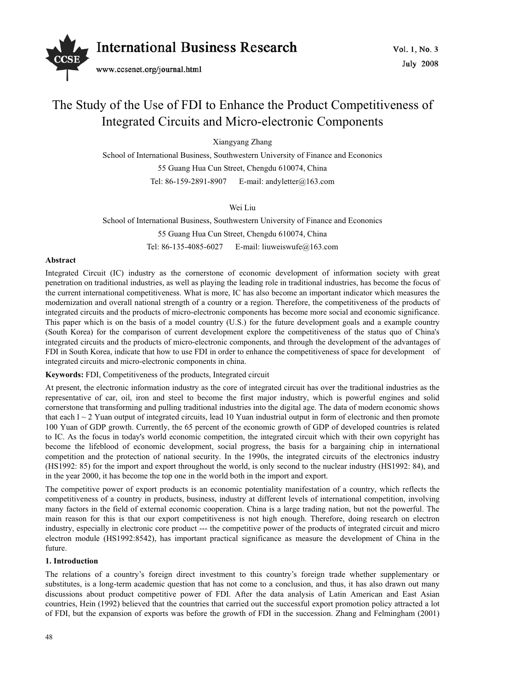

# The Study of the Use of FDI to Enhance the Product Competitiveness of Integrated Circuits and Micro-electronic Components

Xiangyang Zhang

School of International Business, Southwestern University of Finance and Econonics 55 Guang Hua Cun Street, Chengdu 610074, China Tel: 86-159-2891-8907 E-mail: andyletter@163.com

Wei Liu

School of International Business, Southwestern University of Finance and Econonics 55 Guang Hua Cun Street, Chengdu 610074, China Tel: 86-135-4085-6027 E-mail: liuweiswufe@163.com

#### **Abstract**

Integrated Circuit (IC) industry as the cornerstone of economic development of information society with great penetration on traditional industries, as well as playing the leading role in traditional industries, has become the focus of the current international competitiveness. What is more, IC has also become an important indicator which measures the modernization and overall national strength of a country or a region. Therefore, the competitiveness of the products of integrated circuits and the products of micro-electronic components has become more social and economic significance. This paper which is on the basis of a model country (U.S.) for the future development goals and a example country (South Korea) for the comparison of current development explore the competitiveness of the status quo of China's integrated circuits and the products of micro-electronic components, and through the development of the advantages of FDI in South Korea, indicate that how to use FDI in order to enhance the competitiveness of space for development of integrated circuits and micro-electronic components in china.

**Keywords:** FDI, Competitiveness of the products, Integrated circuit

At present, the electronic information industry as the core of integrated circuit has over the traditional industries as the representative of car, oil, iron and steel to become the first major industry, which is powerful engines and solid cornerstone that transforming and pulling traditional industries into the digital age. The data of modern economic shows that each  $1 \sim 2$  Yuan output of integrated circuits, lead 10 Yuan industrial output in form of electronic and then promote 100 Yuan of GDP growth. Currently, the 65 percent of the economic growth of GDP of developed countries is related to IC. As the focus in today's world economic competition, the integrated circuit which with their own copyright has become the lifeblood of economic development, social progress, the basis for a bargaining chip in international competition and the protection of national security. In the 1990s, the integrated circuits of the electronics industry (HS1992: 85) for the import and export throughout the world, is only second to the nuclear industry (HS1992: 84), and in the year 2000, it has become the top one in the world both in the import and export.

The competitive power of export products is an economic potentiality manifestation of a country, which reflects the competitiveness of a country in products, business, industry at different levels of international competition, involving many factors in the field of external economic cooperation. China is a large trading nation, but not the powerful. The main reason for this is that our export competitiveness is not high enough. Therefore, doing research on electron industry, especially in electronic core product --- the competitive power of the products of integrated circuit and micro electron module (HS1992:8542), has important practical significance as measure the development of China in the future.

# **1. Introduction**

The relations of a country's foreign direct investment to this country's foreign trade whether supplementary or substitutes, is a long-term academic question that has not come to a conclusion, and thus, it has also drawn out many discussions about product competitive power of FDI. After the data analysis of Latin American and East Asian countries, Hein (1992) believed that the countries that carried out the successful export promotion policy attracted a lot of FDI, but the expansion of exports was before the growth of FDI in the succession. Zhang and Felmingham (2001)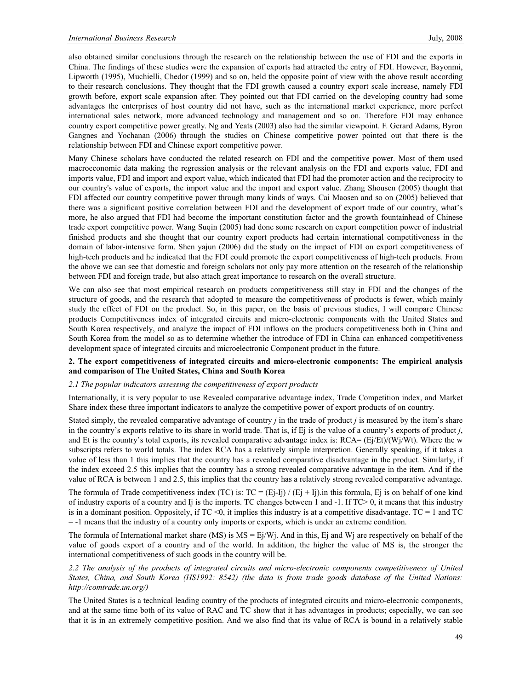also obtained similar conclusions through the research on the relationship between the use of FDI and the exports in China. The findings of these studies were the expansion of exports had attracted the entry of FDI. However, Bayonmi, Lipworth (1995), Muchielli, Chedor (1999) and so on, held the opposite point of view with the above result according to their research conclusions. They thought that the FDI growth caused a country export scale increase, namely FDI growth before, export scale expansion after. They pointed out that FDI carried on the developing country had some advantages the enterprises of host country did not have, such as the international market experience, more perfect international sales network, more advanced technology and management and so on. Therefore FDI may enhance country export competitive power greatly. Ng and Yeats (2003) also had the similar viewpoint. F. Gerard Adams, Byron Gangnes and Yochanan (2006) through the studies on Chinese competitive power pointed out that there is the relationship between FDI and Chinese export competitive power.

Many Chinese scholars have conducted the related research on FDI and the competitive power. Most of them used macroeconomic data making the regression analysis or the relevant analysis on the FDI and exports value, FDI and imports value, FDI and import and export value, which indicated that FDI had the promoter action and the reciprocity to our country's value of exports, the import value and the import and export value. Zhang Shousen (2005) thought that FDI affected our country competitive power through many kinds of ways. Cai Maosen and so on (2005) believed that there was a significant positive correlation between FDI and the development of export trade of our country, what's more, he also argued that FDI had become the important constitution factor and the growth fountainhead of Chinese trade export competitive power. Wang Suqin (2005) had done some research on export competition power of industrial finished products and she thought that our country export products had certain international competitiveness in the domain of labor-intensive form. Shen yajun (2006) did the study on the impact of FDI on export competitiveness of high-tech products and he indicated that the FDI could promote the export competitiveness of high-tech products. From the above we can see that domestic and foreign scholars not only pay more attention on the research of the relationship between FDI and foreign trade, but also attach great importance to research on the overall structure.

We can also see that most empirical research on products competitiveness still stay in FDI and the changes of the structure of goods, and the research that adopted to measure the competitiveness of products is fewer, which mainly study the effect of FDI on the product. So, in this paper, on the basis of previous studies, I will compare Chinese products Competitiveness index of integrated circuits and micro-electronic components with the United States and South Korea respectively, and analyze the impact of FDI inflows on the products competitiveness both in China and South Korea from the model so as to determine whether the introduce of FDI in China can enhanced competitiveness development space of integrated circuits and microelectronic Component product in the future.

#### **2. The export competitiveness of integrated circuits and micro-electronic components: The empirical analysis and comparison of The United States, China and South Korea**

#### *2.1 The popular indicators assessing the competitiveness of export products*

Internationally, it is very popular to use Revealed comparative advantage index, Trade Competition index, and Market Share index these three important indicators to analyze the competitive power of export products of on country.

Stated simply, the revealed comparative advantage of country *j* in the trade of product *j* is measured by the item's share in the country's exports relative to its share in world trade. That is, if Ej is the value of a country's exports of product *j*, and Et is the country's total exports, its revealed comparative advantage index is:  $RCA = (E]/Et)/(Wj/Wt)$ . Where the w subscripts refers to world totals. The index RCA has a relatively simple interpretion. Generally speaking, if it takes a value of less than 1 this implies that the country has a revealed comparative disadvantage in the product. Similarly, if the index exceed 2.5 this implies that the country has a strong revealed comparative advantage in the item. And if the value of RCA is between 1 and 2.5, this implies that the country has a relatively strong revealed comparative advantage.

The formula of Trade competitiveness index (TC) is:  $TC = (Ej-Ij) / (Ej+Ij)$ . In this formula, Ej is on behalf of one kind of industry exports of a country and Ij is the imports. TC changes between 1 and -1. If TC> 0, it means that this industry is in a dominant position. Oppositely, if  $TC \le 0$ , it implies this industry is at a competitive disadvantage.  $TC = 1$  and  $TC$ = -1 means that the industry of a country only imports or exports, which is under an extreme condition.

The formula of International market share (MS) is  $MS = Ej/Wj$ . And in this, Ej and Wj are respectively on behalf of the value of goods export of a country and of the world. In addition, the higher the value of MS is, the stronger the international competitiveness of such goods in the country will be.

*2.2 The analysis of the products of integrated circuits and micro-electronic components competitiveness of United States, China, and South Korea (HS1992: 8542) (the data is from trade goods database of the United Nations: http://comtrade.un.org/)* 

The United States is a technical leading country of the products of integrated circuits and micro-electronic components, and at the same time both of its value of RAC and TC show that it has advantages in products; especially, we can see that it is in an extremely competitive position. And we also find that its value of RCA is bound in a relatively stable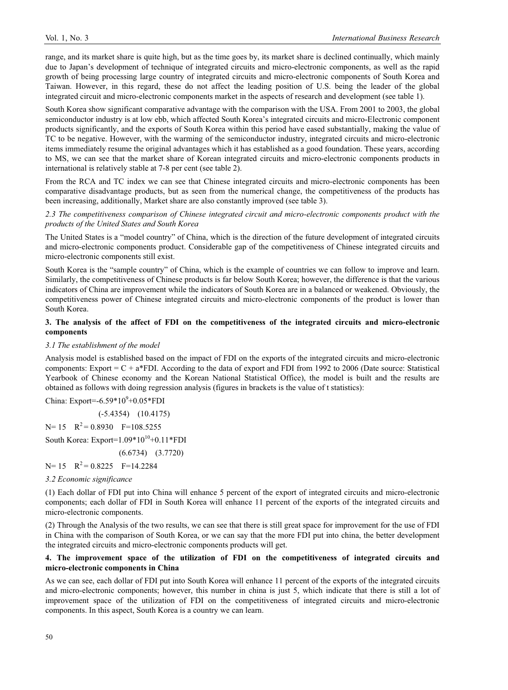range, and its market share is quite high, but as the time goes by, its market share is declined continually, which mainly due to Japan's development of technique of integrated circuits and micro-electronic components, as well as the rapid growth of being processing large country of integrated circuits and micro-electronic components of South Korea and Taiwan. However, in this regard, these do not affect the leading position of U.S. being the leader of the global integrated circuit and micro-electronic components market in the aspects of research and development (see table 1).

South Korea show significant comparative advantage with the comparison with the USA. From 2001 to 2003, the global semiconductor industry is at low ebb, which affected South Korea's integrated circuits and micro-Electronic component products significantly, and the exports of South Korea within this period have eased substantially, making the value of TC to be negative. However, with the warming of the semiconductor industry, integrated circuits and micro-electronic items immediately resume the original advantages which it has established as a good foundation. These years, according to MS, we can see that the market share of Korean integrated circuits and micro-electronic components products in international is relatively stable at 7-8 per cent (see table 2).

From the RCA and TC index we can see that Chinese integrated circuits and micro-electronic components has been comparative disadvantage products, but as seen from the numerical change, the competitiveness of the products has been increasing, additionally, Market share are also constantly improved (see table 3).

*2.3 The competitiveness comparison of Chinese integrated circuit and micro-electronic components product with the products of the United States and South Korea* 

The United States is a "model country" of China, which is the direction of the future development of integrated circuits and micro-electronic components product. Considerable gap of the competitiveness of Chinese integrated circuits and micro-electronic components still exist.

South Korea is the "sample country" of China, which is the example of countries we can follow to improve and learn. Similarly, the competitiveness of Chinese products is far below South Korea; however, the difference is that the various indicators of China are improvement while the indicators of South Korea are in a balanced or weakened. Obviously, the competitiveness power of Chinese integrated circuits and micro-electronic components of the product is lower than South Korea.

# **3. The analysis of the affect of FDI on the competitiveness of the integrated circuits and micro-electronic components**

#### *3.1 The establishment of the model*

Analysis model is established based on the impact of FDI on the exports of the integrated circuits and micro-electronic components: Export  $= C + a^* FDI$ . According to the data of export and FDI from 1992 to 2006 (Date source: Statistical Yearbook of Chinese economy and the Korean National Statistical Office), the model is built and the results are obtained as follows with doing regression analysis (figures in brackets is the value of t statistics):

China: Export=-6.59\*10°+0.05\*FDI

(-5.4354) (10.4175)

 $N= 15$   $R^2 = 0.8930$   $F=108.5255$ 

South Korea: Export= $1.09*10^{10}+0.11*FDI$ 

(6.6734) (3.7720)

 $N= 15$   $R^2 = 0.8225$   $F=14.2284$ 

*3.2 Economic significance* 

(1) Each dollar of FDI put into China will enhance 5 percent of the export of integrated circuits and micro-electronic components; each dollar of FDI in South Korea will enhance 11 percent of the exports of the integrated circuits and micro-electronic components.

(2) Through the Analysis of the two results, we can see that there is still great space for improvement for the use of FDI in China with the comparison of South Korea, or we can say that the more FDI put into china, the better development the integrated circuits and micro-electronic components products will get.

### **4. The improvement space of the utilization of FDI on the competitiveness of integrated circuits and micro-electronic components in China**

As we can see, each dollar of FDI put into South Korea will enhance 11 percent of the exports of the integrated circuits and micro-electronic components; however, this number in china is just 5, which indicate that there is still a lot of improvement space of the utilization of FDI on the competitiveness of integrated circuits and micro-electronic components. In this aspect, South Korea is a country we can learn.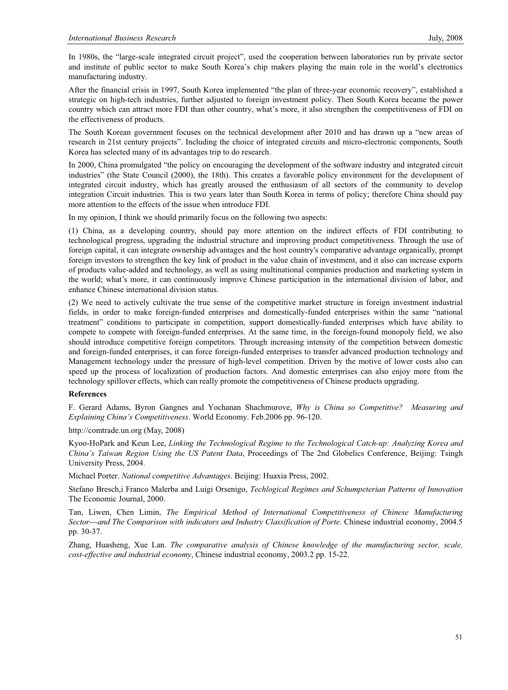In 1980s, the "large-scale integrated circuit project", used the cooperation between laboratories run by private sector and institute of public sector to make South Korea's chip makers playing the main role in the world's electronics manufacturing industry.

After the financial crisis in 1997, South Korea implemented "the plan of three-year economic recovery", established a strategic on high-tech industries, further adjusted to foreign investment policy. Then South Korea became the power country which can attract more FDI than other country, what's more, it also strengthen the competitiveness of FDI on the effectiveness of products.

The South Korean government focuses on the technical development after 2010 and has drawn up a "new areas of research in 21st century projects". Including the choice of integrated circuits and micro-electronic components, South Korea has selected many of its advantages trip to do research.

In 2000, China promulgated "the policy on encouraging the development of the software industry and integrated circuit industries" (the State Council (2000), the 18th). This creates a favorable policy environment for the development of integrated circuit industry, which has greatly aroused the enthusiasm of all sectors of the community to develop integration Circuit industries. This is two years later than South Korea in terms of policy; therefore China should pay more attention to the effects of the issue when introduce FDI.

In my opinion, I think we should primarily focus on the following two aspects:

(1) China, as a developing country, should pay more attention on the indirect effects of FDI contributing to technological progress, upgrading the industrial structure and improving product competitiveness. Through the use of foreign capital, it can integrate ownership advantages and the host country's comparative advantage organically, prompt foreign investors to strengthen the key link of product in the value chain of investment, and it also can increase exports of products value-added and technology, as well as using multinational companies production and marketing system in the world; what's more, it can continuously improve Chinese participation in the international division of labor, and enhance Chinese international division status.

(2) We need to actively cultivate the true sense of the competitive market structure in foreign investment industrial fields, in order to make foreign-funded enterprises and domestically-funded enterprises within the same "national treatment" conditions to participate in competition, support domestically-funded enterprises which have ability to compete to compete with foreign-funded enterprises. At the same time, in the foreign-found monopoly field, we also should introduce competitive foreign competitors. Through increasing intensity of the competition between domestic and foreign-funded enterprises, it can force foreign-funded enterprises to transfer advanced production technology and Management technology under the pressure of high-level competition. Driven by the motive of lower costs also can speed up the process of localization of production factors. And domestic enterprises can also enjoy more from the technology spillover effects, which can really promote the competitiveness of Chinese products upgrading.

# **References**

F. Gerard Adams, Byron Gangnes and Yochanan Shachmurove, *Why is China so Competitive? Measuring and Explaining China's Competitiveness*. World Economy. Feb.2006 pp. 96-120.

http://comtrade.un.org (May, 2008)

Kyoo-HoPark and Keun Lee, *Linking the Technological Regime to the Technological Catch-up: Analyzing Korea and China's Taiwan Region Using the US Patent Data*, Proceedings of The 2nd Globelics Conference, Beijing: Tsingh University Press, 2004.

Michael Porter. *National competitive Advantages*. Beijing: Huaxia Press, 2002.

Stefano Bresch,i Franco Malerba and Luigi Orsenigo, *Techlogical Regimes and Schumpeterian Patterns of Innovation* The Economic Journal, 2000.

Tan, Liwen, Chen Limin, *The Empirical Method of International Competitiveness of Chinese Manufacturing Sector---and The Comparison with indicators and Industry Classification of Porte.* Chinese industrial economy, 2004.5 pp. 30-37.

Zhang, Huasheng, Xue Lan. *The comparative analysis of Chinese knowledge of the manufacturing sector, scale, cost-effective and industrial economy*, Chinese industrial economy, 2003.2 pp. 15-22.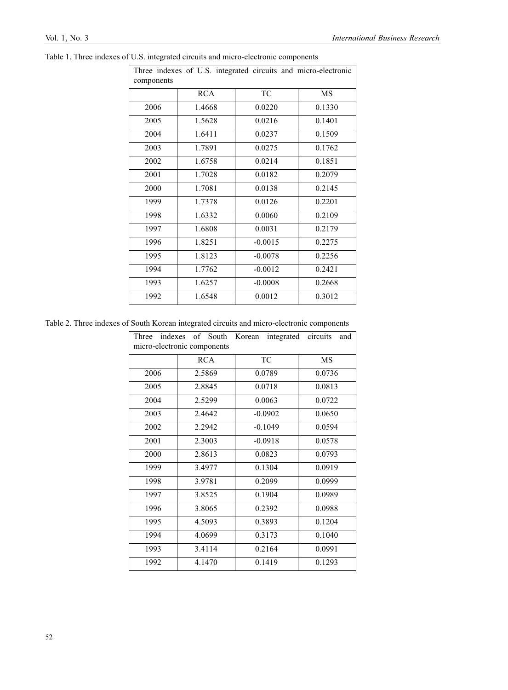| Three indexes of U.S. integrated circuits and micro-electronic<br>components |            |           |        |  |  |
|------------------------------------------------------------------------------|------------|-----------|--------|--|--|
|                                                                              | <b>RCA</b> | <b>TC</b> | MS     |  |  |
| 2006                                                                         | 1.4668     | 0.0220    | 0.1330 |  |  |
| 2005                                                                         | 1.5628     | 0.0216    | 0.1401 |  |  |
| 2004                                                                         | 1.6411     | 0.0237    | 0.1509 |  |  |
| 2003                                                                         | 1.7891     | 0.0275    | 0.1762 |  |  |
| 2002                                                                         | 1.6758     | 0.0214    | 0.1851 |  |  |
| 2001                                                                         | 1.7028     | 0.0182    | 0.2079 |  |  |
| 2000                                                                         | 1.7081     | 0.0138    | 0.2145 |  |  |
| 1999                                                                         | 1.7378     | 0.0126    | 0.2201 |  |  |
| 1998                                                                         | 1.6332     | 0.0060    | 0.2109 |  |  |
| 1997                                                                         | 1.6808     | 0.0031    | 0.2179 |  |  |
| 1996                                                                         | 1.8251     | $-0.0015$ | 0.2275 |  |  |
| 1995                                                                         | 1.8123     | $-0.0078$ | 0.2256 |  |  |
| 1994                                                                         | 1.7762     | $-0.0012$ | 0.2421 |  |  |
| 1993                                                                         | 1.6257     | $-0.0008$ | 0.2668 |  |  |
| 1992                                                                         | 1.6548     | 0.0012    | 0.3012 |  |  |

Table 1. Three indexes of U.S. integrated circuits and micro-electronic components

Table 2. Three indexes of South Korean integrated circuits and micro-electronic components

| Three | micro-electronic components | indexes of South Korean integrated circuits | and       |
|-------|-----------------------------|---------------------------------------------|-----------|
|       | <b>RCA</b>                  | <b>TC</b>                                   | <b>MS</b> |
| 2006  | 2.5869                      | 0.0789                                      | 0.0736    |
| 2005  | 2.8845                      | 0.0718                                      | 0.0813    |
| 2004  | 2.5299                      | 0.0063                                      | 0.0722    |
| 2003  | 2.4642                      | $-0.0902$                                   | 0.0650    |
| 2002  | 2.2942                      | $-0.1049$                                   | 0.0594    |
| 2001  | 2.3003                      | $-0.0918$                                   | 0.0578    |
| 2000  | 2.8613                      | 0.0823                                      | 0.0793    |
| 1999  | 3.4977                      | 0.1304                                      | 0.0919    |
| 1998  | 3.9781                      | 0.2099                                      | 0.0999    |
| 1997  | 3.8525                      | 0.1904                                      | 0.0989    |
| 1996  | 3.8065                      | 0.2392                                      | 0.0988    |
| 1995  | 4.5093                      | 0.3893                                      | 0.1204    |
| 1994  | 4.0699                      | 0.3173                                      | 0.1040    |
| 1993  | 3.4114                      | 0.2164                                      | 0.0991    |
| 1992  | 4.1470                      | 0.1419                                      | 0.1293    |